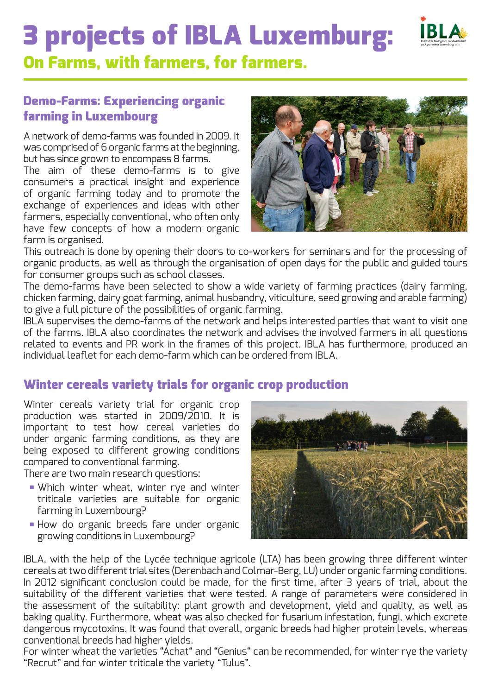# 3 projects of IBLA Luxemburg:



## On Farms, with farmers, for farmers.

## Demo-Farms: Experiencing organic farming in Luxembourg

A network of demo-farms was founded in 2009. It was comprised of 6 organic farms at the beginning, but has since grown to encompass 8 farms.

The aim of these demo-farms is to give consumers a practical insight and experience of organic farming today and to promote the exchange of experiences and ideas with other farmers, especially conventional, who often only have few concepts of how a modern organic farm is organised.



This outreach is done by opening their doors to co-workers for seminars and for the processing of organic products, as well as through the organisation of open days for the public and guided tours for consumer groups such as school classes.

The demo-farms have been selected to show a wide variety of farming practices (dairy farming, chicken farming, dairy goat farming, animal husbandry, viticulture, seed growing and arable farming) to give a full picture of the possibilities of organic farming.

IBLA supervises the demo-farms of the network and helps interested parties that want to visit one of the farms. IBLA also coordinates the network and advises the involved farmers in all questions related to events and PR work in the frames of this project. IBLA has furthermore, produced an individual leaflet for each demo-farm which can be ordered from IBLA.

## Winter cereals variety trials for organic crop production

Winter cereals variety trial for organic crop production was started in 2009/2010. It is important to test how cereal varieties do under organic farming conditions, as they are being exposed to different growing conditions compared to conventional farming.

There are two main research questions:

- Which winter wheat, winter rye and winter triticale varieties are suitable for organic farming in Luxembourg?
- How do organic breeds fare under organic growing conditions in Luxembourg?



IBLA, with the help of the Lycée technique agricole (LTA) has been growing three different winter cereals at two different trial sites (Derenbach and Colmar-Berg, LU) under organic farming conditions. In 2012 significant conclusion could be made, for the first time, after 3 years of trial, about the suitability of the different varieties that were tested. A range of parameters were considered in the assessment of the suitability: plant growth and development, yield and quality, as well as baking quality. Furthermore, wheat was also checked for fusarium infestation, fungi, which excrete dangerous mycotoxins. It was found that overall, organic breeds had higher protein levels, whereas conventional breeds had higher yields.

For winter wheat the varieties "Achat" and "Genius" can be recommended, for winter rye the variety "Recrut" and for winter triticale the variety "Tulus".